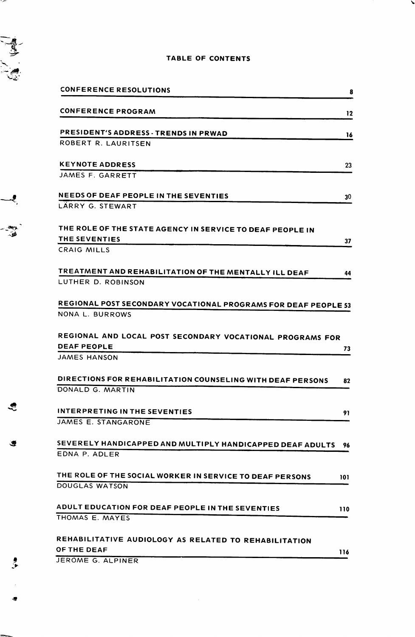

 $\frac{1}{2}$ 

T.

## TABLE OF CONTENTS

١

|      | <b>CONFERENCE RESOLUTIONS</b>                                                                          | 8   |
|------|--------------------------------------------------------------------------------------------------------|-----|
|      | <b>CONFERENCE PROGRAM</b>                                                                              | 12  |
|      | PRESIDENT'S ADDRESS - TRENDS IN PRWAD                                                                  | 16  |
|      | ROBERT R. LAURITSEN                                                                                    |     |
|      | <b>KEYNOTE ADDRESS</b><br>JAMES F. GARRETT                                                             | 23  |
|      |                                                                                                        |     |
| -8   | <b>NEEDS OF DEAF PEOPLE IN THE SEVENTIES</b><br>LÄRRY G. STEWART                                       | 30  |
| - 90 | THE ROLE OF THE STATE AGENCY IN SERVICE TO DEAF PEOPLE IN<br>THE SEVENTIES                             | 37  |
|      | CRAIG MILLS                                                                                            |     |
|      | TREATMENT AND REHABILITATION OF THE MENTALLY ILL DEAF<br>LUTHER D. ROBINSON                            | 44  |
|      | REGIONAL POST SECONDARY VOCATIONAL PROGRAMS FOR DEAF PEOPLE 53                                         |     |
|      | NONA L. BURROWS                                                                                        |     |
|      | REGIONAL AND LOCAL POST SECONDARY VOCATIONAL PROGRAMS FOR<br><b>DEAF PEOPLE</b><br><b>JAMES HANSON</b> | 73  |
|      | DIRECTIONS FOR REHABILITATION COUNSELING WITH DEAF PERSONS<br>DONALD G. MARTIN                         | 82  |
| S    | INTERPRETING IN THE SEVENTIES<br>JAMES E. STANGARONE                                                   | 91  |
| ۰    | SEVERELY HANDICAPPED AND MULTIPLY HANDICAPPED DEAF ADULTS<br>EDNA P. ADLER                             | 96  |
|      | THE ROLE OF THE SOCIAL WORKER IN SERVICE TO DEAF PERSONS<br>DOUGLAS WATSON                             | 101 |
|      | ADULT EDUCATION FOR DEAF PEOPLE IN THE SEVENTIES<br>THOMAS E. MAYES                                    | 110 |
|      | REHABILITATIVE AUDIOLOGY AS RELATED TO REHABILITATION<br><b>OF THE DEAF</b>                            | 116 |
|      | JEROME G. ALPINER                                                                                      |     |